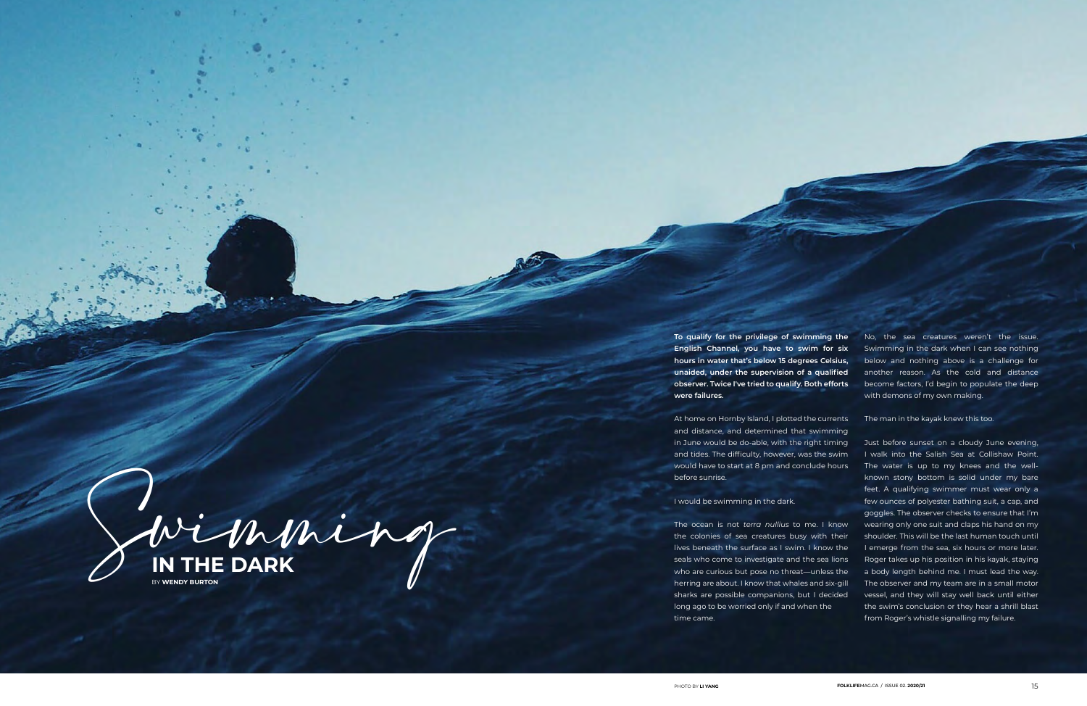Swimming **IN THE DARK** BY **WENDY BURTON**

**To qualify for the privilege of swimming the English Channel, you have to swim for six hours in water that's below 15 degrees Celsius, unaided, under the supervision of a qualified observer. Twice I've tried to qualify. Both efforts were failures.**

At home on Hornby Island, I plotted the currents and distance, and determined that swimming in June would be do-able, with the right timing and tides. The difficulty, however, was the swim would have to start at 8 pm and conclude hours before sunrise.

I would be swimming in the dark.

The ocean is not *terra nullius* to me. I know the colonies of sea creatures busy with their lives beneath the surface as I swim. I know the seals who come to investigate and the sea lions who are curious but pose no threat—unless the herring are about. I know that whales and six-gill sharks are possible companions, but I decided long ago to be worried only if and when the time came.

No, the sea creatures weren't the issue. Swimming in the dark when I can see nothing below and nothing above is a challenge for another reason. As the cold and distance become factors, I'd begin to populate the deep with demons of my own making.

The man in the kayak knew this too.

Just before sunset on a cloudy June evening, I walk into the Salish Sea at Collishaw Point. The water is up to my knees and the wellknown stony bottom is solid under my bare feet. A qualifying swimmer must wear only a few ounces of polyester bathing suit, a cap, and goggles. The observer checks to ensure that I'm wearing only one suit and claps his hand on my shoulder. This will be the last human touch until I emerge from the sea, six hours or more later. Roger takes up his position in his kayak, staying a body length behind me. I must lead the way. The observer and my team are in a small motor vessel, and they will stay well back until either the swim's conclusion or they hear a shrill blast from Roger's whistle signalling my failure.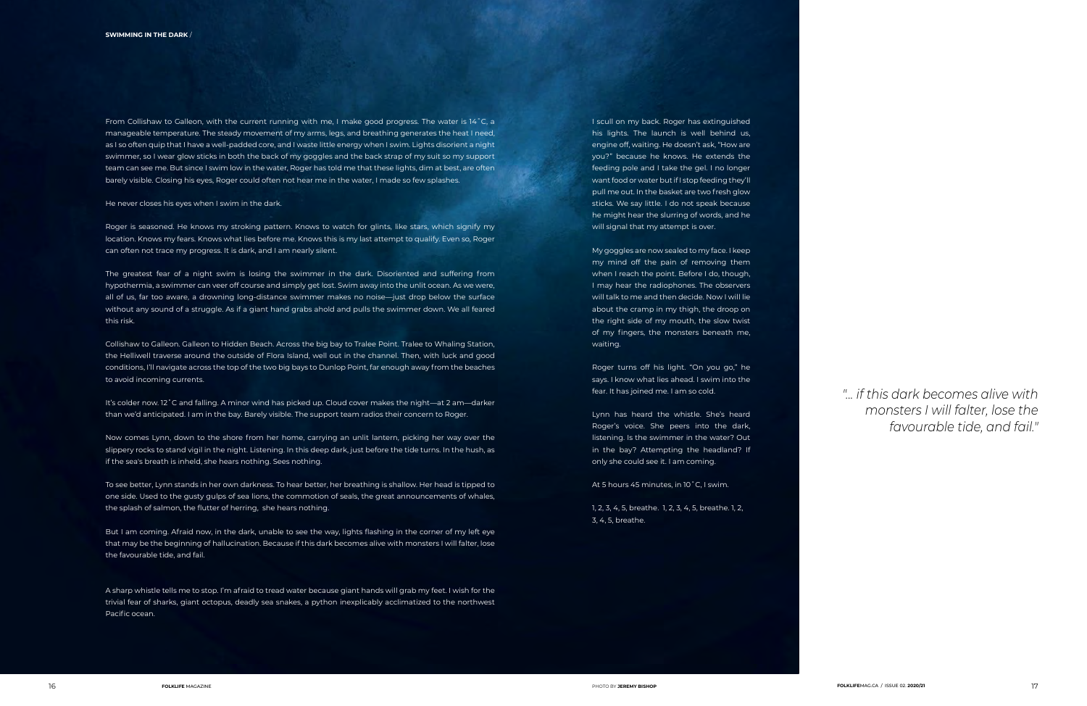Roger is seasoned. He knows my stroking pattern. Knows to watch for glints, like stars, which signify my location. Knows my fears. Knows what lies before me. Knows this is my last attempt to qualify. Even so, Roger can often not trace my progress. It is dark, and I am nearly silent.

From Collishaw to Galleon, with the current running with me, I make good progress. The water is 14˚C, a manageable temperature. The steady movement of my arms, legs, and breathing generates the heat I need, as I so often quip that I have a well-padded core, and I waste little energy when I swim. Lights disorient a night swimmer, so I wear glow sticks in both the back of my goggles and the back strap of my suit so my support team can see me. But since I swim low in the water, Roger has told me that these lights, dim at best, are often barely visible. Closing his eyes, Roger could often not hear me in the water, I made so few splashes.

He never closes his eyes when I swim in the dark.

The greatest fear of a night swim is losing the swimmer in the dark. Disoriented and suffering from hypothermia, a swimmer can veer off course and simply get lost. Swim away into the unlit ocean. As we were, all of us, far too aware, a drowning long-distance swimmer makes no noise—just drop below the surface without any sound of a struggle. As if a giant hand grabs ahold and pulls the swimmer down. We all feared this risk.

Collishaw to Galleon. Galleon to Hidden Beach. Across the big bay to Tralee Point. Tralee to Whaling Station, the Helliwell traverse around the outside of Flora Island, well out in the channel. Then, with luck and good conditions, I'll navigate across the top of the two big bays to Dunlop Point, far enough away from the beaches to avoid incoming currents.

It's colder now. 12˚C and falling. A minor wind has picked up. Cloud cover makes the night—at 2 am—darker than we'd anticipated. I am in the bay. Barely visible. The support team radios their concern to Roger.

Now comes Lynn, down to the shore from her home, carrying an unlit lantern, picking her way over the slippery rocks to stand vigil in the night. Listening. In this deep dark, just before the tide turns. In the hush, as if the sea's breath is inheld, she hears nothing. Sees nothing.

To see better, Lynn stands in her own darkness. To hear better, her breathing is shallow. Her head is tipped to one side. Used to the gusty gulps of sea lions, the commotion of seals, the great announcements of whales, the splash of salmon, the flutter of herring, she hears nothing.

But I am coming. Afraid now, in the dark, unable to see the way, lights flashing in the corner of my left eye that may be the beginning of hallucination. Because if this dark becomes alive with monsters I will falter, lose the favourable tide, and fail.

A sharp whistle tells me to stop. I'm afraid to tread water because giant hands will grab my feet. I wish for the trivial fear of sharks, giant octopus, deadly sea snakes, a python inexplicably acclimatized to the northwest Pacific ocean.

I scull on my back. Roger has extinguished his lights. The launch is well behind us, engine off, waiting. He doesn't ask, "How are you?" because he knows. He extends the feeding pole and I take the gel. I no longer want food or water but if I stop feeding they'll pull me out. In the basket are two fresh glow sticks. We say little. I do not speak because he might hear the slurring of words, and he will signal that my attempt is over.

My goggles are now sealed to my face. I keep my mind off the pain of removing them when I reach the point. Before I do, though, I may hear the radiophones. The observers will talk to me and then decide. Now I will lie about the cramp in my thigh, the droop on the right side of my mouth, the slow twist of my fingers, the monsters beneath me, waiting.

Roger turns off his light. "On you go," he says. I know what lies ahead. I swim into the fear. It has joined me. I am so cold.

Lynn has heard the whistle. She's heard Roger's voice. She peers into the dark, listening. Is the swimmer in the water? Out in the bay? Attempting the headland? If only she could see it. I am coming.

At 5 hours 45 minutes, in 10˚C, I swim.

1, 2, 3, 4, 5, breathe. 1, 2, 3, 4, 5, breathe. 1, 2, 3, 4, 5, breathe.

*"... if this dark becomes alive with monsters I will falter, lose the favourable tide, and fail."*